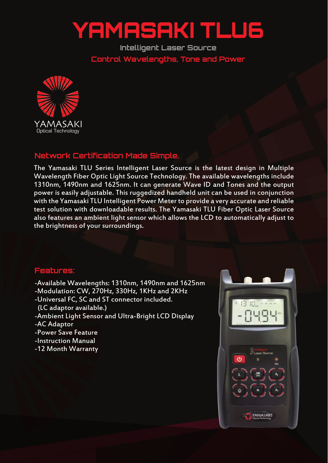## YAMASAKI TLU6

**Intelligent Laser Source Control Wavelengths, Tone and Power**



## **Network Certification Made Simple.**

The Yamasaki TLU Series Intelligent Laser Source is the latest design in Multiple Wavelength Fiber Optic Light Source Technology. The available wavelengths include 1310nm, 1490nm and 1625nm. It can generate Wave ID and Tones and the output power is easily adjustable. This ruggedized handheld unit can be used in conjunction with the Yamasaki TLU Intelligent Power Meter to provide a very accurate and reliable test solution with downloadable results. The Yamasaki TLU Fiber Optic Laser Source also features an ambient light sensor which allows the LCD to automatically adjust to the brightness of your surroundings.

## **Features:**

- -Available Wavelengths: 1310nm, 1490nm and 1625nm
- -Modulation: CW, 270Hz, 330Hz, 1KHz and 2KHz
- -Universal FC, SC and ST connector included.
- (LC adaptor available.)
- -Ambient Light Sensor and Ultra-Bright LCD Display
- -AC Adaptor
- -Power Save Feature
- -Instruction Manual
- -12 Month Warranty